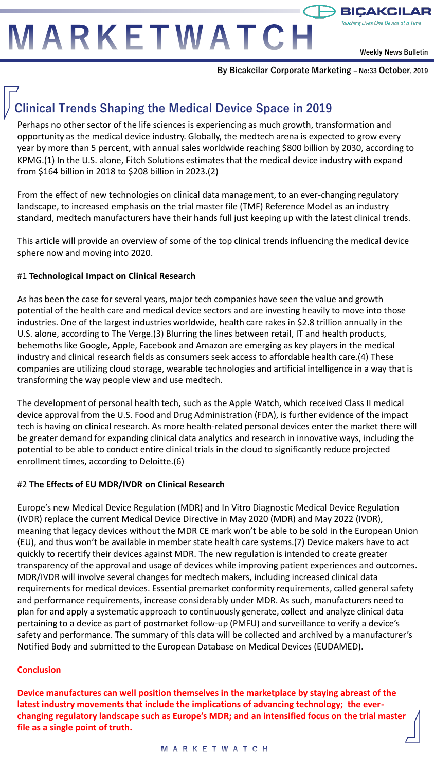# MARKETWATCH

**Weekly News Bulletin**

 $\rightarrow$  BICAKCILAR Touching Lives One Device at a Time

**By Bicakcilar Corporate Marketing – No:33 October, 2019**

# **Clinical Trends Shaping the Medical Device Space in 2019**

Perhaps no other sector of the life sciences is experiencing as much growth, transformation and opportunity as the medical device industry. Globally, the medtech arena is expected to grow every year by more than 5 percent, with annual sales worldwide reaching \$800 billion by 2030, according to KPMG.(1) In the U.S. alone, Fitch Solutions estimates that the medical device industry with expand from \$164 billion in 2018 to \$208 billion in 2023.(2)

From the effect of new technologies on clinical data management, to an ever-changing regulatory landscape, to increased emphasis on the trial master file (TMF) Reference Model as an industry standard, medtech manufacturers have their hands full just keeping up with the latest clinical trends.

This article will provide an overview of some of the top clinical trends influencing the medical device sphere now and moving into 2020.

#### #1 **Technological Impact on Clinical Research**

As has been the case for several years, major tech companies have seen the value and growth potential of the health care and medical device sectors and are investing heavily to move into those industries. One of the largest industries worldwide, health care rakes in \$2.8 trillion annually in the U.S. alone, according to The Verge.(3) Blurring the lines between retail, IT and health products, behemoths like Google, Apple, Facebook and Amazon are emerging as key players in the medical industry and clinical research fields as consumers seek access to affordable health care.(4) These companies are utilizing cloud storage, wearable technologies and artificial intelligence in a way that is transforming the way people view and use medtech.

The development of personal health tech, such as the Apple Watch, which received Class II medical device approval from the U.S. Food and Drug Administration (FDA), is further evidence of the impact tech is having on clinical research. As more health-related personal devices enter the market there will be greater demand for expanding clinical data analytics and research in innovative ways, including the potential to be able to conduct entire clinical trials in the cloud to significantly reduce projected enrollment times, according to Deloitte.(6)

#### #2 **The Effects of EU MDR/IVDR on Clinical Research**

Europe's new Medical Device Regulation (MDR) and In Vitro Diagnostic Medical Device Regulation (IVDR) replace the current Medical Device Directive in May 2020 (MDR) and May 2022 (IVDR), meaning that legacy devices without the MDR CE mark won't be able to be sold in the European Union (EU), and thus won't be available in member state health care systems.(7) Device makers have to act quickly to recertify their devices against MDR. The new regulation is intended to create greater transparency of the approval and usage of devices while improving patient experiences and outcomes. MDR/IVDR will involve several changes for medtech makers, including increased clinical data requirements for medical devices. Essential premarket conformity requirements, called general safety and performance requirements, increase considerably under MDR. As such, manufacturers need to plan for and apply a systematic approach to continuously generate, collect and analyze clinical data pertaining to a device as part of postmarket follow-up (PMFU) and surveillance to verify a device's safety and performance. The summary of this data will be collected and archived by a manufacturer's Notified Body and submitted to the European Database on Medical Devices (EUDAMED).

#### **Conclusion**

**Device manufactures can well position themselves in the marketplace by staying abreast of the latest industry movements that include the implications of advancing technology; the everchanging regulatory landscape such as Europe's MDR; and an intensified focus on the trial master file as a single point of truth.**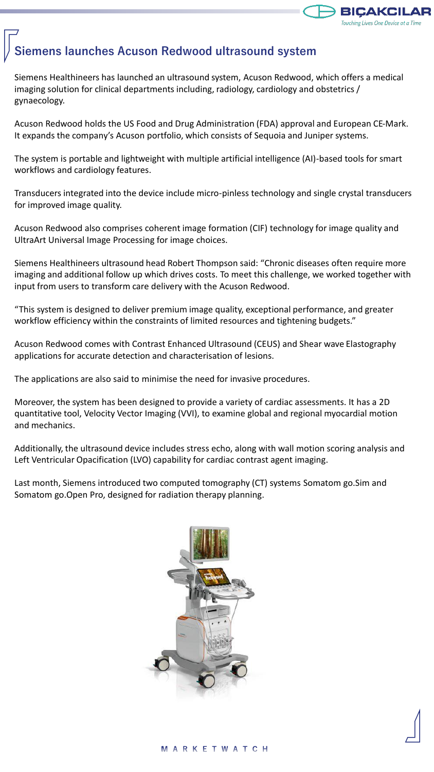

## **Siemens launches Acuson Redwood ultrasound system**

Siemens Healthineers has launched an ultrasound system, Acuson Redwood, which offers a medical imaging solution for clinical departments including, radiology, cardiology and obstetrics / gynaecology.

Acuson Redwood holds the US Food and Drug Administration (FDA) approval and European CE-Mark. It expands the company's Acuson portfolio, which consists of Sequoia and Juniper systems.

The system is portable and lightweight with multiple artificial intelligence (AI)-based tools for smart workflows and cardiology features.

Transducers integrated into the device include micro-pinless technology and single crystal transducers for improved image quality.

Acuson Redwood also comprises coherent image formation (CIF) technology for image quality and UltraArt Universal Image Processing for image choices.

Siemens Healthineers ultrasound head Robert Thompson said: "Chronic diseases often require more imaging and additional follow up which drives costs. To meet this challenge, we worked together with input from users to transform care delivery with the Acuson Redwood.

"This system is designed to deliver premium image quality, exceptional performance, and greater workflow efficiency within the constraints of limited resources and tightening budgets."

Acuson Redwood comes with Contrast Enhanced Ultrasound (CEUS) and Shear wave Elastography applications for accurate detection and characterisation of lesions.

The applications are also said to minimise the need for invasive procedures.

Moreover, the system has been designed to provide a variety of cardiac assessments. It has a 2D quantitative tool, Velocity Vector Imaging (VVI), to examine global and regional myocardial motion and mechanics.

Additionally, the ultrasound device includes stress echo, along with wall motion scoring analysis and Left Ventricular Opacification (LVO) capability for cardiac contrast agent imaging.

Last month, Siemens introduced two computed tomography (CT) systems Somatom go.Sim and Somatom go.Open Pro, designed for radiation therapy planning.

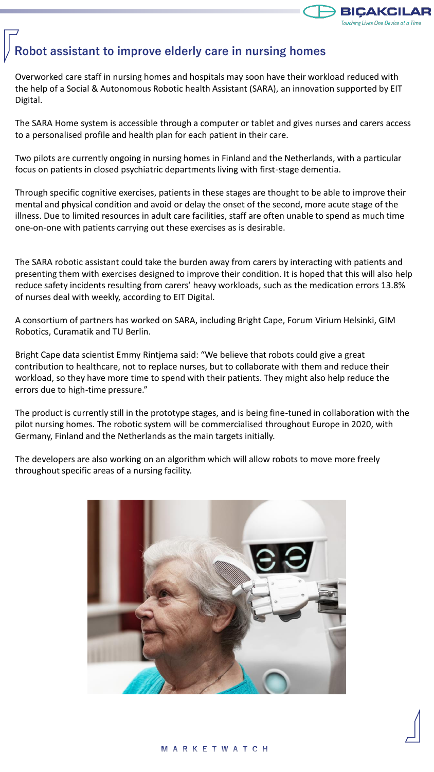

### **Robot assistant to improve elderly care in nursing homes**

Overworked care staff in nursing homes and hospitals may soon have their workload reduced with the help of a Social & Autonomous Robotic health Assistant (SARA), an innovation supported by EIT Digital.

The SARA Home system is accessible through a computer or tablet and gives nurses and carers access to a personalised profile and health plan for each patient in their care.

Two pilots are currently ongoing in nursing homes in Finland and the Netherlands, with a particular focus on patients in closed psychiatric departments living with first-stage dementia.

Through specific cognitive exercises, patients in these stages are thought to be able to improve their mental and physical condition and avoid or delay the onset of the second, more acute stage of the illness. Due to limited resources in adult care facilities, staff are often unable to spend as much time one-on-one with patients carrying out these exercises as is desirable.

The SARA robotic assistant could take the burden away from carers by interacting with patients and presenting them with exercises designed to improve their condition. It is hoped that this will also help reduce safety incidents resulting from carers' heavy workloads, such as the medication errors 13.8% of nurses deal with weekly, according to EIT Digital.

A consortium of partners has worked on SARA, including Bright Cape, Forum Virium Helsinki, GIM Robotics, Curamatik and TU Berlin.

Bright Cape data scientist Emmy Rintjema said: "We believe that robots could give a great contribution to healthcare, not to replace nurses, but to collaborate with them and reduce their workload, so they have more time to spend with their patients. They might also help reduce the errors due to high-time pressure."

The product is currently still in the prototype stages, and is being fine-tuned in collaboration with the pilot nursing homes. The robotic system will be commercialised throughout Europe in 2020, with Germany, Finland and the Netherlands as the main targets initially.

The developers are also working on an algorithm which will allow robots to move more freely throughout specific areas of a nursing facility.

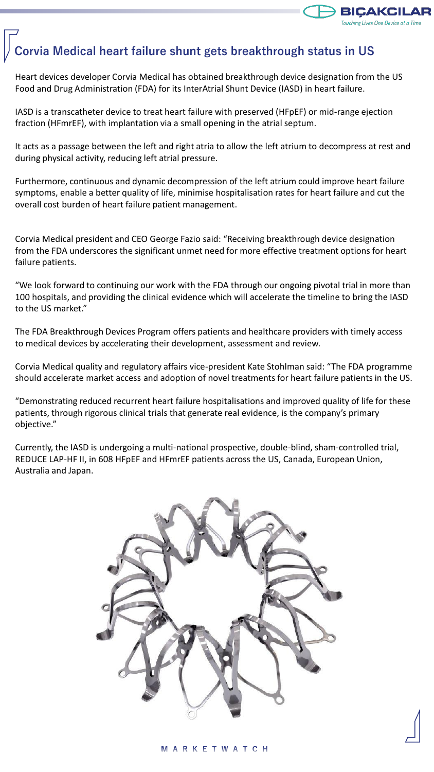

# **Corvia Medical heart failure shunt gets breakthrough status in US**

Heart devices developer Corvia Medical has obtained breakthrough device designation from the US Food and Drug Administration (FDA) for its InterAtrial Shunt Device (IASD) in heart failure.

IASD is a transcatheter device to treat heart failure with preserved (HFpEF) or mid-range ejection fraction (HFmrEF), with implantation via a small opening in the atrial septum.

It acts as a passage between the left and right atria to allow the left atrium to decompress at rest and during physical activity, reducing left atrial pressure.

Furthermore, continuous and dynamic decompression of the left atrium could improve heart failure symptoms, enable a better quality of life, minimise hospitalisation rates for heart failure and cut the overall cost burden of heart failure patient management.

Corvia Medical president and CEO George Fazio said: "Receiving breakthrough device designation from the FDA underscores the significant unmet need for more effective treatment options for heart failure patients.

"We look forward to continuing our work with the FDA through our ongoing pivotal trial in more than 100 hospitals, and providing the clinical evidence which will accelerate the timeline to bring the IASD to the US market."

The FDA Breakthrough Devices Program offers patients and healthcare providers with timely access to medical devices by accelerating their development, assessment and review.

Corvia Medical quality and regulatory affairs vice-president Kate Stohlman said: "The FDA programme should accelerate market access and adoption of novel treatments for heart failure patients in the US.

"Demonstrating reduced recurrent heart failure hospitalisations and improved quality of life for these patients, through rigorous clinical trials that generate real evidence, is the company's primary objective."

Currently, the IASD is undergoing a multi-national prospective, double-blind, sham-controlled trial, REDUCE LAP-HF II, in 608 HFpEF and HFmrEF patients across the US, Canada, European Union, Australia and Japan.